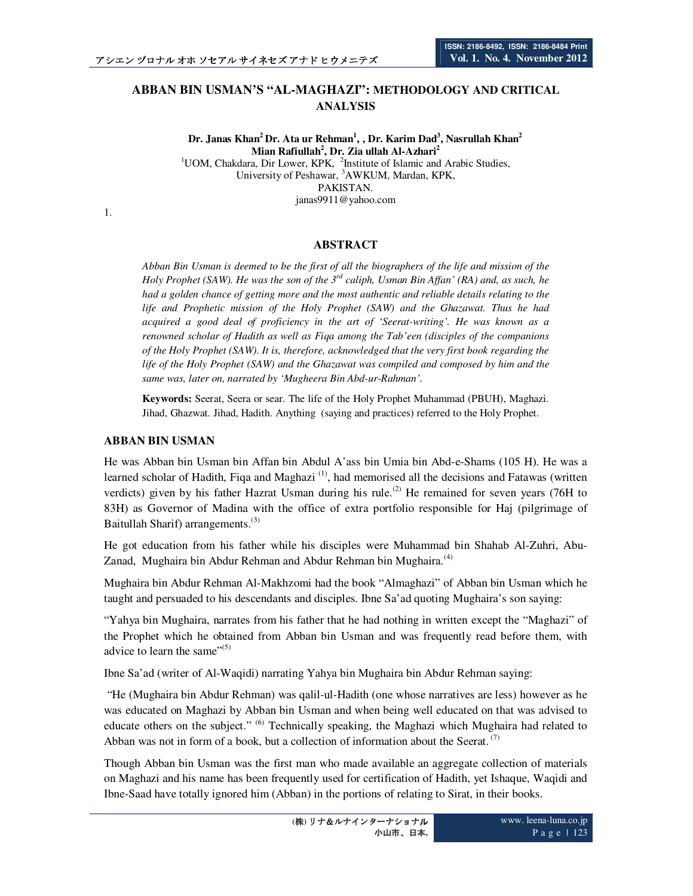# **ABBAN BIN USMAN'S "AL-MAGHAZI": METHODOLOGY AND CRITICAL ANALYSIS**

**Dr. Janas Khan<sup>2</sup>Dr. Ata ur Rehman<sup>1</sup> , , Dr. Karim Dad<sup>3</sup> , Nasrullah Khan<sup>2</sup> Mian Rafiullah<sup>2</sup> , Dr. Zia ullah Al-Azhari<sup>2</sup>** <sup>1</sup>UOM, Chakdara, Dir Lower, KPK, <sup>2</sup>Institute of Islamic and Arabic Studies, University of Peshawar, <sup>3</sup>AWKUM, Mardan, KPK, PAKISTAN. janas9911@yahoo.com

1.

### **ABSTRACT**

*Abban Bin Usman is deemed to be the first of all the biographers of the life and mission of the Holy Prophet (SAW). He was the son of the 3rd caliph, Usman Bin Affan' (RA) and, as such, he had a golden chance of getting more and the most authentic and reliable details relating to the life and Prophetic mission of the Holy Prophet (SAW) and the Ghazawat. Thus he had acquired a good deal of proficiency in the art of 'Seerat-writing'. He was known as a renowned scholar of Hadith as well as Fiqa among the Tab'een (disciples of the companions of the Holy Prophet (SAW). It is, therefore, acknowledged that the very first book regarding the life of the Holy Prophet (SAW) and the Ghazawat was compiled and composed by him and the same was, later on, narrated by 'Mugheera Bin Abd-ur-Rahman'.* 

**Keywords:** Seerat, Seera or sear. The life of the Holy Prophet Muhammad (PBUH), Maghazi. Jihad, Ghazwat. Jihad, Hadith. Anything (saying and practices) referred to the Holy Prophet.

#### **ABBAN BIN USMAN**

He was Abban bin Usman bin Affan bin Abdul A'ass bin Umia bin Abd-e-Shams (105 H). He was a learned scholar of Hadith, Figa and Maghazi<sup>(1)</sup>, had memorised all the decisions and Fatawas (written verdicts) given by his father Hazrat Usman during his rule.<sup>(2)</sup> He remained for seven years (76H to 83H) as Governor of Madina with the office of extra portfolio responsible for Haj (pilgrimage of Baitullah Sharif) arrangements.<sup>(3)</sup>

He got education from his father while his disciples were Muhammad bin Shahab Al-Zuhri, Abu-Zanad, Mughaira bin Abdur Rehman and Abdur Rehman bin Mughaira.<sup>(4)</sup>

Mughaira bin Abdur Rehman Al-Makhzomi had the book "Almaghazi" of Abban bin Usman which he taught and persuaded to his descendants and disciples. Ibne Sa'ad quoting Mughaira's son saying:

"Yahya bin Mughaira, narrates from his father that he had nothing in written except the "Maghazi" of the Prophet which he obtained from Abban bin Usman and was frequently read before them, with advice to learn the same" $(5)$ 

Ibne Sa'ad (writer of Al-Waqidi) narrating Yahya bin Mughaira bin Abdur Rehman saying:

 "He (Mughaira bin Abdur Rehman) was qalil-ul-Hadith (one whose narratives are less) however as he was educated on Maghazi by Abban bin Usman and when being well educated on that was advised to educate others on the subject." <sup>(6)</sup> Technically speaking, the Maghazi which Mughaira had related to Abban was not in form of a book, but a collection of information about the Seerat.<sup> $(7)$ </sup>

Though Abban bin Usman was the first man who made available an aggregate collection of materials on Maghazi and his name has been frequently used for certification of Hadith, yet Ishaque, Waqidi and Ibne-Saad have totally ignored him (Abban) in the portions of relating to Sirat, in their books.